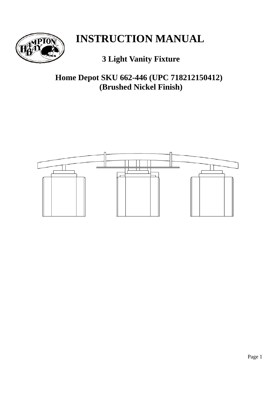

# **INSTRUCTION MANUAL**

# **3 Light Vanity Fixture**

**Home Depot SKU 662-446 (UPC 718212150412) (Brushed Nickel Finish)** 

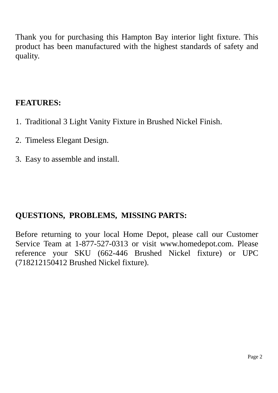Thank you for purchasing this Hampton Bay interior light fixture. This product has been manufactured with the highest standards of safety and quality.

# **FEATURES:**

- 1. Traditional 3 Light Vanity Fixture in Brushed Nickel Finish.
- 2. Timeless Elegant Design.
- 3. Easy to assemble and install.

# **QUESTIONS, PROBLEMS, MISSING PARTS:**

Before returning to your local Home Depot, please call our Customer Service Team at 1-877-527-0313 or visit www.homedepot.com. Please reference your SKU (662-446 Brushed Nickel fixture) or UPC (718212150412 Brushed Nickel fixture).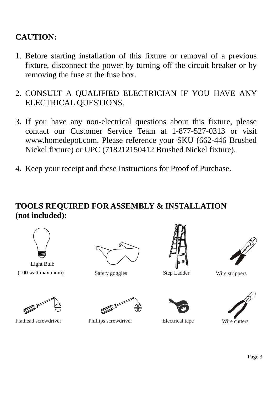# **CAUTION:**

- 1. Before starting installation of this fixture or removal of a previous fixture, disconnect the power by turning off the circuit breaker or by removing the fuse at the fuse box.
- 2. CONSULT A QUALIFIED ELECTRICIAN IF YOU HAVE ANY ELECTRICAL QUESTIONS.
- 3. If you have any non-electrical questions about this fixture, please contact our Customer Service Team at 1-877-527-0313 or visit www.homedepot.com. Please reference your SKU (662-446 Brushed Nickel fixture) or UPC (718212150412 Brushed Nickel fixture).
- 4. Keep your receipt and these Instructions for Proof of Purchase.

# **TOOLS REQUIRED FOR ASSEMBLY & INSTALLATION (not included):**



Light Bulb (100 watt maximum) Safety goggles Step Ladder Wire strippers









Flathead screwdriver Phillips screwdriver Electrical tape Wire cutters





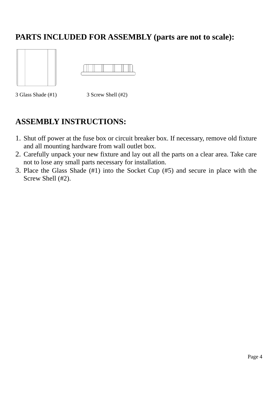# **PARTS INCLUDED FOR ASSEMBLY (parts are not to scale):**





3 Glass Shade (#1) 3 Screw Shell (#2)

# **ASSEMBLY INSTRUCTIONS:**

- 1. Shut off power at the fuse box or circuit breaker box. If necessary, remove old fixture and all mounting hardware from wall outlet box.
- 2. Carefully unpack your new fixture and lay out all the parts on a clear area. Take care not to lose any small parts necessary for installation.
- 3. Place the Glass Shade (#1) into the Socket Cup (#5) and secure in place with the Screw Shell (#2).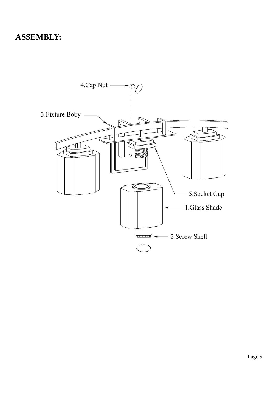### **ASSEMBLY:**

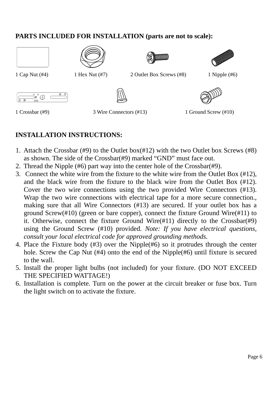### **PARTS INCLUDED FOR INSTALLATION (parts are not to scale):**









1 Cap Nut (#4) 1 Hex Nut (#7) 2 Outlet Box Screws (#8) 1 Nipple (#6)







1 Crossbar (#9) 3 Wire Connectors (#13) 1 Ground Screw (#10)

### **INSTALLATION INSTRUCTIONS:**

- 1. Attach the Crossbar (#9) to the Outlet box(#12) with the two Outlet box Screws (#8) as shown. The side of the Crossbar(#9) marked "GND" must face out.
- 2. Thread the Nipple (#6) part way into the center hole of the Crossbar(#9).
- 3. Connect the white wire from the fixture to the white wire from the Outlet Box (#12), and the black wire from the fixture to the black wire from the Outlet Box (#12). Cover the two wire connections using the two provided Wire Connectors (#13). Wrap the two wire connections with electrical tape for a more secure connection., making sure that all Wire Connectors (#13) are secured. If your outlet box has a ground Screw(#10) (green or bare copper), connect the fixture Ground Wire(#11) to it. Otherwise, connect the fixture Ground Wire(#11) directly to the Crossbar(#9) using the Ground Screw (#10) provided. *Note: If you have electrical questions, consult your local electrical code for approved grounding methods.*
- 4. Place the Fixture body (#3) over the Nipple(#6) so it protrudes through the center hole. Screw the Cap Nut (#4) onto the end of the Nipple(#6) until fixture is secured to the wall.
- 5. Install the proper light bulbs (not included) for your fixture. (DO NOT EXCEED THE SPECIFIED WATTAGE!)
- 6. Installation is complete. Turn on the power at the circuit breaker or fuse box. Turn the light switch on to activate the fixture.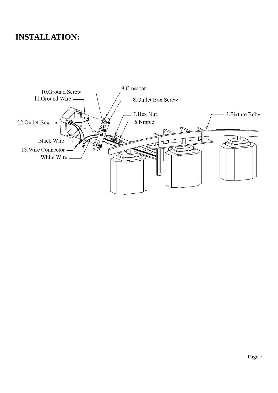# **INSTALLATION:**